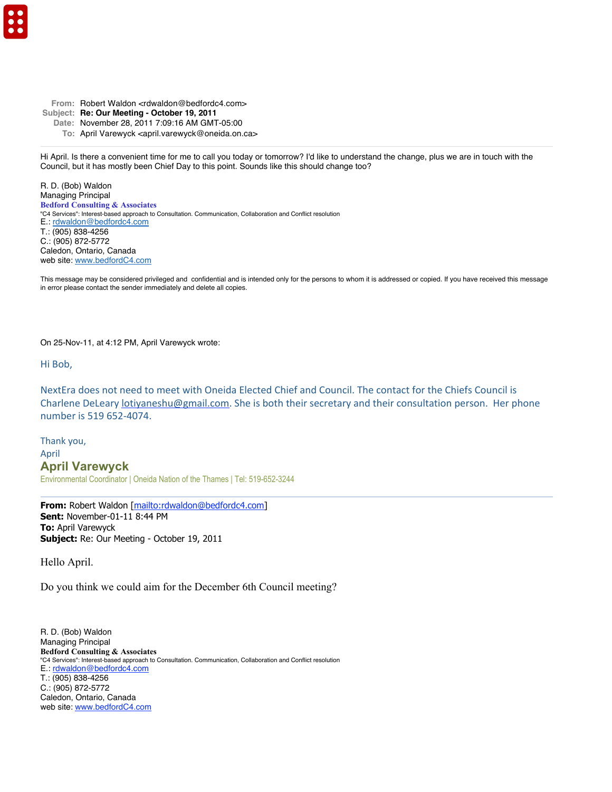- From: Robert Waldon <rdwaldon@bedfordc4.com>
- **Subject: Re: Our Meeting October 19, 2011**
	- **Date:** November 28, 2011 7:09:16 AM GMT-05:00
		- **To:** April Varewyck <april.varewyck@oneida.on.ca>

Hi April. Is there a convenient time for me to call you today or tomorrow? I'd like to understand the change, plus we are in touch with the Council, but it has mostly been Chief Day to this point. Sounds like this should change too?

R. D. (Bob) Waldon Managing Principal **Bedford Consulting & Associates** "C4 Services": Interest-based approach to Consultation. Communication, Collaboration and Conflict resolution E.: rdwaldon@bedfordc4.com T.: (905) 838-4256 C.: (905) 872-5772 Caledon, Ontario, Canada web site: www.bedfordC4.com

This message may be considered privileged and confidential and is intended only for the persons to whom it is addressed or copied. If you have received this message in error please contact the sender immediately and delete all copies.

On 25-Nov-11, at 4:12 PM, April Varewyck wrote:

Hi Bob,

NextEra does not need to meet with Oneida Elected Chief and Council. The contact for the Chiefs Council is Charlene DeLeary lotiyaneshu@gmail.com. She is both their secretary and their consultation person. Her phone number is 519 652-4074.

Thank you, April **April Varewyck** Environmental Coordinator | Oneida Nation of the Thames | Tel: 519-652-3244

From: Robert Waldon [mailto:rdwaldon@bedfordc4.com] **Sent:** November-01-11 8:44 PM **To:** April Varewyck **Subject:** Re: Our Meeting - October 19, 2011

Hello April.

Do you think we could aim for the December 6th Council meeting?

R. D. (Bob) Waldon Managing Principal **Bedford Consulting & Associates** "C4 Services": Interest-based approach to Consultation. Communication, Collaboration and Conflict resolution E.: rdwaldon@bedfordc4.com T.: (905) 838-4256 C.: (905) 872-5772 Caledon, Ontario, Canada web site: www.bedfordC4.com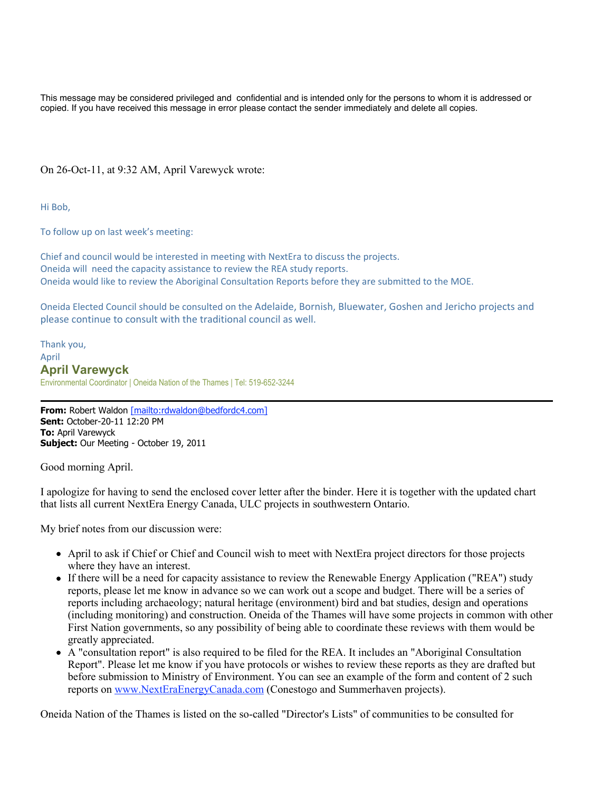This message may be considered privileged and confidential and is intended only for the persons to whom it is addressed or copied. If you have received this message in error please contact the sender immediately and delete all copies.

On 26-Oct-11, at 9:32 AM, April Varewyck wrote:

Hi Bob.

To follow up on last week's meeting:

Chief and council would be interested in meeting with NextEra to discuss the projects. Oneida will need the capacity assistance to review the REA study reports. Oneida would like to review the Aboriginal Consultation Reports before they are submitted to the MOE.

Oneida Elected Council should be consulted on the Adelaide, Bornish, Bluewater, Goshen and Jericho projects and please continue to consult with the traditional council as well.

Thank you, April **April Varewyck** Environmental Coordinator | Oneida Nation of the Thames | Tel: 519-652-3244

**From:** Robert Waldon [mailto:rdwaldon@bedfordc4.com] **Sent:** October-20-11 12:20 PM **To:** April Varewyck **Subject:** Our Meeting - October 19, 2011

Good morning April.

I apologize for having to send the enclosed cover letter after the binder. Here it is together with the updated chart that lists all current NextEra Energy Canada, ULC projects in southwestern Ontario.

My brief notes from our discussion were:

- April to ask if Chief or Chief and Council wish to meet with NextEra project directors for those projects where they have an interest.
- If there will be a need for capacity assistance to review the Renewable Energy Application ("REA") study reports, please let me know in advance so we can work out a scope and budget. There will be a series of reports including archaeology; natural heritage (environment) bird and bat studies, design and operations (including monitoring) and construction. Oneida of the Thames will have some projects in common with other First Nation governments, so any possibility of being able to coordinate these reviews with them would be greatly appreciated.
- A "consultation report" is also required to be filed for the REA. It includes an "Aboriginal Consultation Report". Please let me know if you have protocols or wishes to review these reports as they are drafted but before submission to Ministry of Environment. You can see an example of the form and content of 2 such reports on www.NextEraEnergyCanada.com (Conestogo and Summerhaven projects).

Oneida Nation of the Thames is listed on the so-called "Director's Lists" of communities to be consulted for